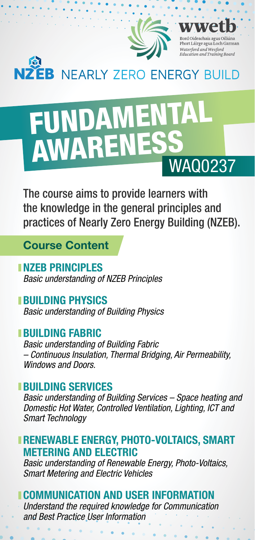

# FUNDAMENTA AWARENESS

The course aims to provide learners with the knowledge in the general principles and practices of Nearly Zero Energy Building (NZEB).

**Course Content**

**NZEB PRINCIPLES** *Basic understanding of NZEB Principles* 

**BUILDING PHYSICS**  *Basic understanding of Building Physics* 

## **BUILDING FABRIC**

*Basic understanding of Building Fabric – Continuous Insulation, Thermal Bridging, Air Permeability, Windows and Doors.*

## **BUILDING SERVICES**

*Basic understanding of Building Services – Space heating and Domestic Hot Water, Controlled Ventilation, Lighting, ICT and Smart Technology*

**RENEWABLE ENERGY, PHOTO-VOLTAICS, SMART METERING AND ELECTRIC**

*Basic understanding of Renewable Energy, Photo-Voltaics, Smart Metering and Electric Vehicles*

# **COMMUNICATION AND USER INFORMATION**

*Understand the required knowledge for Communication and Best Practice User Information*